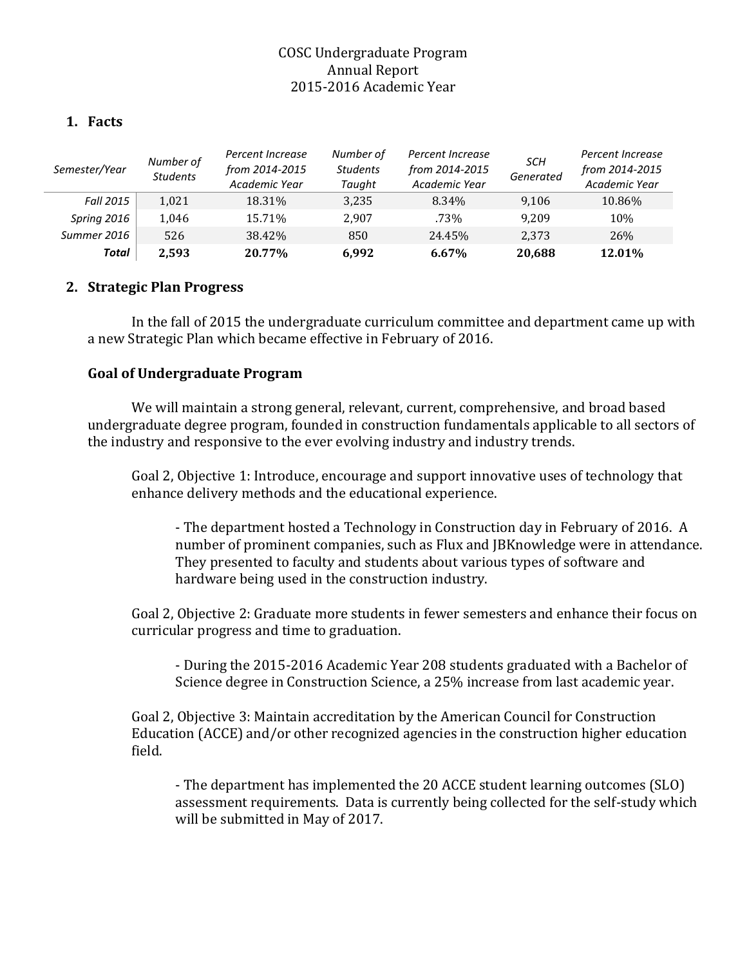# COSC Undergraduate Program Annual Report 2015-2016 Academic Year

### **1. Facts**

| Semester/Year    | Number of<br><b>Students</b> | Percent Increase<br>from 2014-2015<br>Academic Year | Number of<br><b>Students</b><br>Taught | Percent Increase<br>from 2014-2015<br>Academic Year | SCH<br>Generated | Percent Increase<br>from 2014-2015<br>Academic Year |
|------------------|------------------------------|-----------------------------------------------------|----------------------------------------|-----------------------------------------------------|------------------|-----------------------------------------------------|
| <b>Fall 2015</b> | 1.021                        | 18.31%                                              | 3,235                                  | 8.34%                                               | 9,106            | 10.86%                                              |
| Spring 2016      | 1,046                        | 15.71%                                              | 2.907                                  | .73%                                                | 9.209            | 10%                                                 |
| Summer 2016      | 526                          | 38.42%                                              | 850                                    | 24.45%                                              | 2,373            | 26%                                                 |
| Total            | 2.593                        | 20.77%                                              | 6.992                                  | 6.67%                                               | 20,688           | 12.01%                                              |

## **2. Strategic Plan Progress**

In the fall of 2015 the undergraduate curriculum committee and department came up with a new Strategic Plan which became effective in February of 2016.

### **Goal of Undergraduate Program**

We will maintain a strong general, relevant, current, comprehensive, and broad based undergraduate degree program, founded in construction fundamentals applicable to all sectors of the industry and responsive to the ever evolving industry and industry trends.

Goal 2, Objective 1: Introduce, encourage and support innovative uses of technology that enhance delivery methods and the educational experience.

- The department hosted a Technology in Construction day in February of 2016. A number of prominent companies, such as Flux and JBKnowledge were in attendance. They presented to faculty and students about various types of software and hardware being used in the construction industry.

Goal 2, Objective 2: Graduate more students in fewer semesters and enhance their focus on curricular progress and time to graduation.

- During the 2015-2016 Academic Year 208 students graduated with a Bachelor of Science degree in Construction Science, a 25% increase from last academic year.

Goal 2, Objective 3: Maintain accreditation by the American Council for Construction Education (ACCE) and/or other recognized agencies in the construction higher education field.

- The department has implemented the 20 ACCE student learning outcomes (SLO) assessment requirements. Data is currently being collected for the self-study which will be submitted in May of 2017.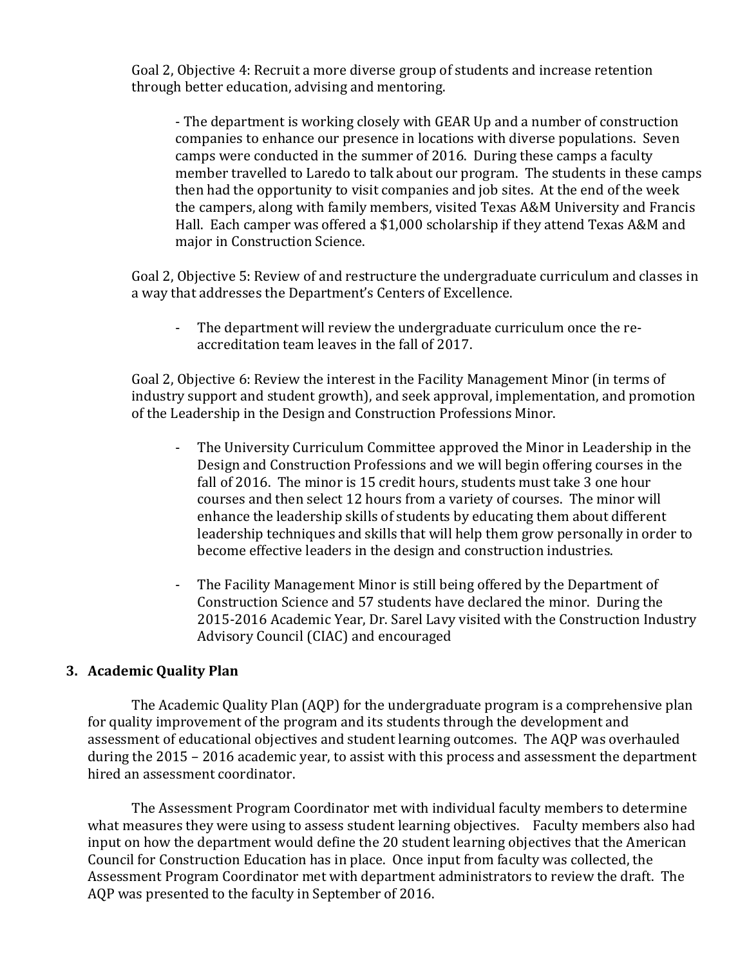Goal 2, Objective 4: Recruit a more diverse group of students and increase retention through better education, advising and mentoring.

- The department is working closely with GEAR Up and a number of construction companies to enhance our presence in locations with diverse populations. Seven camps were conducted in the summer of 2016. During these camps a faculty member travelled to Laredo to talk about our program. The students in these camps then had the opportunity to visit companies and job sites. At the end of the week the campers, along with family members, visited Texas A&M University and Francis Hall. Each camper was offered a \$1,000 scholarship if they attend Texas A&M and major in Construction Science.

Goal 2, Objective 5: Review of and restructure the undergraduate curriculum and classes in a way that addresses the Department's Centers of Excellence.

The department will review the undergraduate curriculum once the reaccreditation team leaves in the fall of 2017.

Goal 2, Objective 6: Review the interest in the Facility Management Minor (in terms of industry support and student growth), and seek approval, implementation, and promotion of the Leadership in the Design and Construction Professions Minor.

- The University Curriculum Committee approved the Minor in Leadership in the Design and Construction Professions and we will begin offering courses in the fall of 2016. The minor is 15 credit hours, students must take 3 one hour courses and then select 12 hours from a variety of courses. The minor will enhance the leadership skills of students by educating them about different leadership techniques and skills that will help them grow personally in order to become effective leaders in the design and construction industries.
- The Facility Management Minor is still being offered by the Department of Construction Science and 57 students have declared the minor. During the 2015-2016 Academic Year, Dr. Sarel Lavy visited with the Construction Industry Advisory Council (CIAC) and encouraged

## **3. Academic Quality Plan**

The Academic Quality Plan (AQP) for the undergraduate program is a comprehensive plan for quality improvement of the program and its students through the development and assessment of educational objectives and student learning outcomes. The AQP was overhauled during the 2015 – 2016 academic year, to assist with this process and assessment the department hired an assessment coordinator.

The Assessment Program Coordinator met with individual faculty members to determine what measures they were using to assess student learning objectives. Faculty members also had input on how the department would define the 20 student learning objectives that the American Council for Construction Education has in place. Once input from faculty was collected, the Assessment Program Coordinator met with department administrators to review the draft. The AQP was presented to the faculty in September of 2016.